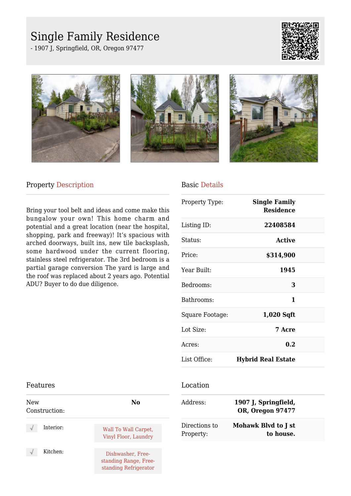# Single Family Residence

- 1907 J, Springfield, OR, Oregon 97477









### Property Description

Bring your tool belt and ideas and come make this bungalow your own! This home charm and potential and a great location (near the hospital, shopping, park and freeway)! It's spacious with arched doorways, built ins, new tile backsplash, some hardwood under the current flooring, stainless steel refrigerator. The 3rd bedroom is a partial garage conversion The yard is large and the roof was replaced about 2 years ago. Potential ADU? Buyer to do due diligence.

#### Basic Details

| Property Type:  | <b>Single Family</b><br><b>Residence</b> |  |
|-----------------|------------------------------------------|--|
| Listing ID:     | 22408584                                 |  |
| Status:         | <b>Active</b>                            |  |
| Price:          | \$314,900                                |  |
| Year Built:     | 1945                                     |  |
| Bedrooms:       | 3                                        |  |
| Bathrooms:      | 1                                        |  |
| Square Footage: | $1,020$ Sqft                             |  |
| Lot Size:       | 7 Acre                                   |  |
| Acres:          | 0.2                                      |  |
| List Office:    | <b>Hybrid Real Estate</b>                |  |

#### Features

| <b>New</b><br>Construction: | No                                                                  |
|-----------------------------|---------------------------------------------------------------------|
| Interior:                   | Wall To Wall Carpet,<br>Vinyl Floor, Laundry                        |
| Kitchen:                    | Dishwasher, Free-<br>standing Range, Free-<br>standing Refrigerator |

#### Location

| Address:                   | 1907 J, Springfield,<br><b>OR, Oregon 97477</b> |  |
|----------------------------|-------------------------------------------------|--|
| Directions to<br>Property: | Mohawk Blvd to J st<br>to house.                |  |